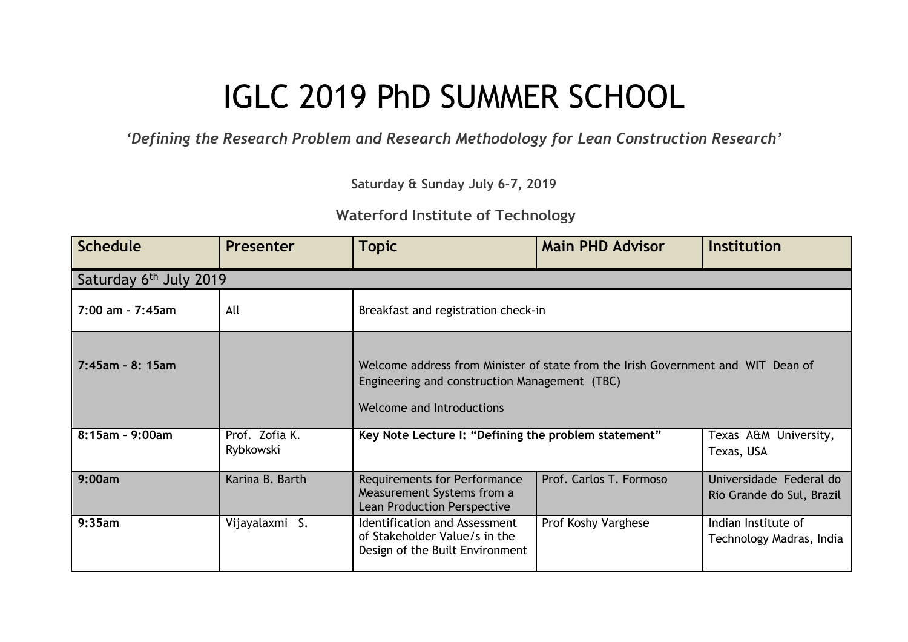## IGLC 2019 PhD SUMMER SCHOOL

*'Defining the Research Problem and Research Methodology for Lean Construction Research'*

**Saturday & Sunday July 6-7, 2019**

## **Waterford Institute of Technology**

| <b>Schedule</b>     | Presenter                   | <b>Topic</b>                                                                                                                                                   | <b>Main PHD Advisor</b> | <b>Institution</b>                                   |  |  |
|---------------------|-----------------------------|----------------------------------------------------------------------------------------------------------------------------------------------------------------|-------------------------|------------------------------------------------------|--|--|
|                     | Saturday 6th July 2019      |                                                                                                                                                                |                         |                                                      |  |  |
| 7:00 am - 7:45am    | All                         | Breakfast and registration check-in                                                                                                                            |                         |                                                      |  |  |
| $7:45$ am - 8: 15am |                             | Welcome address from Minister of state from the Irish Government and WIT Dean of<br>Engineering and construction Management (TBC)<br>Welcome and Introductions |                         |                                                      |  |  |
| 8:15am - 9:00am     | Prof. Zofia K.<br>Rybkowski | Key Note Lecture I: "Defining the problem statement"                                                                                                           |                         | Texas A&M University,<br>Texas, USA                  |  |  |
| 9:00am              | Karina B. Barth             | Requirements for Performance<br>Measurement Systems from a<br>Lean Production Perspective                                                                      | Prof. Carlos T. Formoso | Universidade Federal do<br>Rio Grande do Sul, Brazil |  |  |
| 9:35am              | Vijayalaxmi S.              | Identification and Assessment<br>of Stakeholder Value/s in the<br>Design of the Built Environment                                                              | Prof Koshy Varghese     | Indian Institute of<br>Technology Madras, India      |  |  |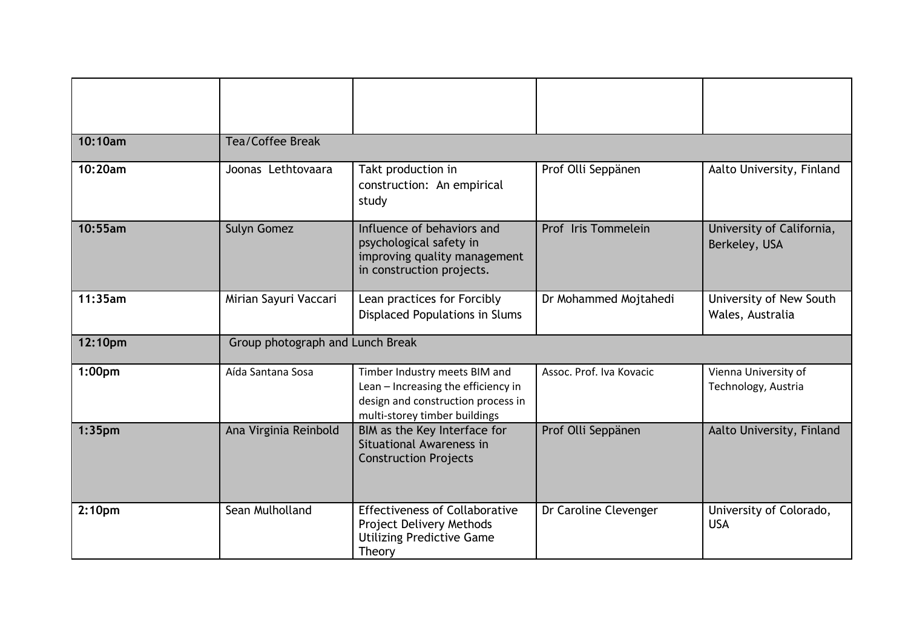| 10:10am            | <b>Tea/Coffee Break</b>          |                                                                                                                                             |                          |                                             |
|--------------------|----------------------------------|---------------------------------------------------------------------------------------------------------------------------------------------|--------------------------|---------------------------------------------|
| 10:20am            | Joonas Lethtovaara               | Takt production in<br>construction: An empirical<br>study                                                                                   | Prof Olli Seppänen       | Aalto University, Finland                   |
| 10:55am            | <b>Sulyn Gomez</b>               | Influence of behaviors and<br>psychological safety in<br>improving quality management<br>in construction projects.                          | Prof Iris Tommelein      | University of California,<br>Berkeley, USA  |
| 11:35am            | Mirian Sayuri Vaccari            | Lean practices for Forcibly<br><b>Displaced Populations in Slums</b>                                                                        | Dr Mohammed Mojtahedi    | University of New South<br>Wales, Australia |
| 12:10pm            | Group photograph and Lunch Break |                                                                                                                                             |                          |                                             |
| 1:00 <sub>pm</sub> | Aída Santana Sosa                | Timber Industry meets BIM and<br>Lean - Increasing the efficiency in<br>design and construction process in<br>multi-storey timber buildings | Assoc. Prof. Iva Kovacic | Vienna University of<br>Technology, Austria |
| 1:35 <sub>pm</sub> | Ana Virginia Reinbold            | BIM as the Key Interface for<br>Situational Awareness in<br><b>Construction Projects</b>                                                    | Prof Olli Seppänen       | Aalto University, Finland                   |
| 2:10 <sub>pm</sub> | Sean Mulholland                  | <b>Effectiveness of Collaborative</b><br>Project Delivery Methods<br><b>Utilizing Predictive Game</b><br>Theory                             | Dr Caroline Clevenger    | University of Colorado,<br><b>USA</b>       |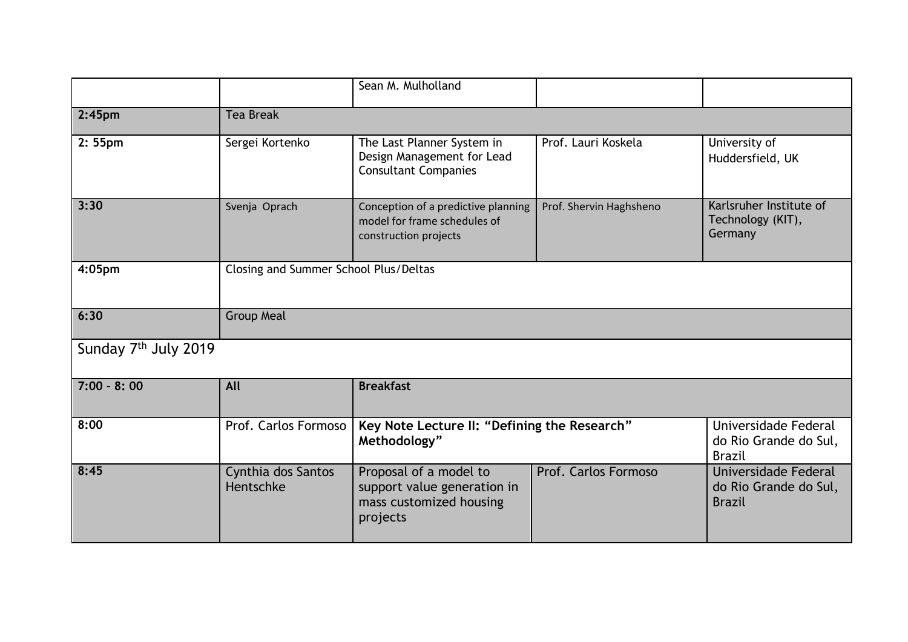|                                  |                                       | Sean M. Mulholland                                                                           |                         |                                                                |
|----------------------------------|---------------------------------------|----------------------------------------------------------------------------------------------|-------------------------|----------------------------------------------------------------|
| 2:45 <sub>pm</sub>               | <b>Tea Break</b>                      |                                                                                              |                         |                                                                |
| 2:55 <sub>pm</sub>               | Sergei Kortenko                       | The Last Planner System in<br>Design Management for Lead<br><b>Consultant Companies</b>      | Prof. Lauri Koskela     | University of<br>Huddersfield, UK                              |
| 3:30                             | Svenja Oprach                         | Conception of a predictive planning<br>model for frame schedules of<br>construction projects | Prof. Shervin Haghsheno | Karlsruher Institute of<br>Technology (KIT),<br>Germany        |
| 4:05pm                           | Closing and Summer School Plus/Deltas |                                                                                              |                         |                                                                |
| 6:30                             | <b>Group Meal</b>                     |                                                                                              |                         |                                                                |
| Sunday 7 <sup>th</sup> July 2019 |                                       |                                                                                              |                         |                                                                |
| $7:00 - 8:00$                    | All                                   | <b>Breakfast</b>                                                                             |                         |                                                                |
| 8:00                             | Prof. Carlos Formoso                  | Key Note Lecture II: "Defining the Research"<br>Methodology"                                 |                         | Universidade Federal<br>do Rio Grande do Sul,<br><b>Brazil</b> |
| 8:45                             | Cynthia dos Santos<br>Hentschke       | Proposal of a model to<br>support value generation in<br>mass customized housing<br>projects | Prof. Carlos Formoso    | Universidade Federal<br>do Rio Grande do Sul,<br><b>Brazil</b> |